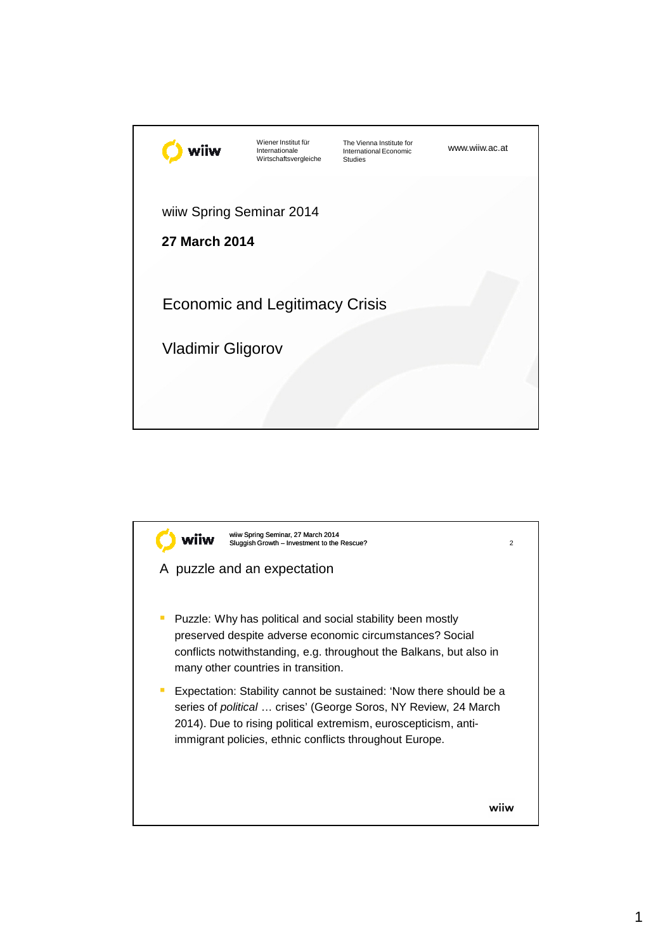| viiw                                             | Wiener Institut für<br>Internationale<br>Wirtschaftsvergleiche | The Vienna Institute for<br>International Economic<br><b>Studies</b> | www.wiiw.ac.at |
|--------------------------------------------------|----------------------------------------------------------------|----------------------------------------------------------------------|----------------|
| wiiw Spring Seminar 2014<br><b>27 March 2014</b> |                                                                |                                                                      |                |
|                                                  | <b>Economic and Legitimacy Crisis</b>                          |                                                                      |                |
| <b>Vladimir Gligorov</b>                         |                                                                |                                                                      |                |
|                                                  |                                                                |                                                                      |                |

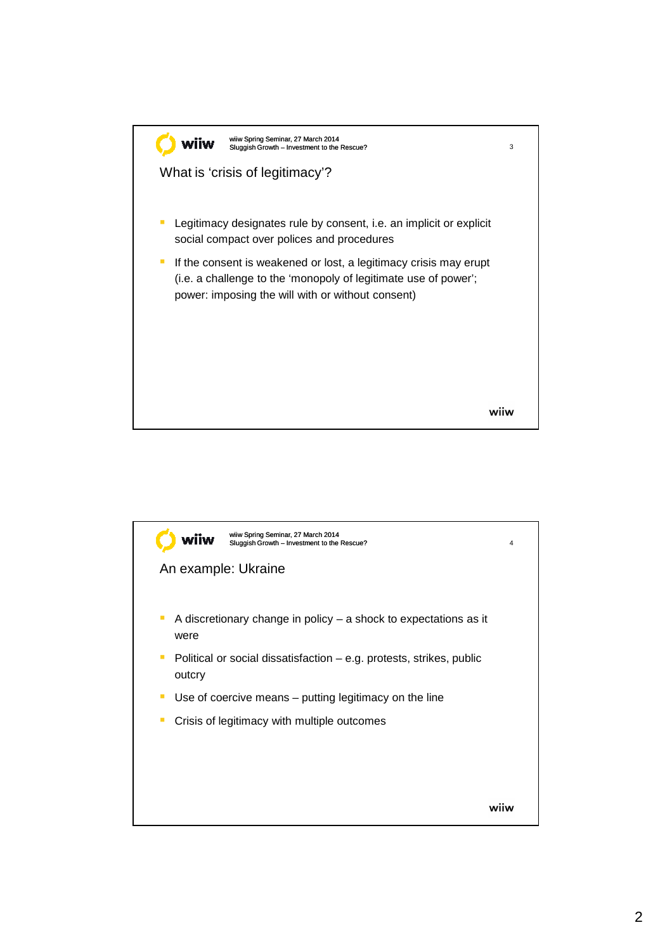

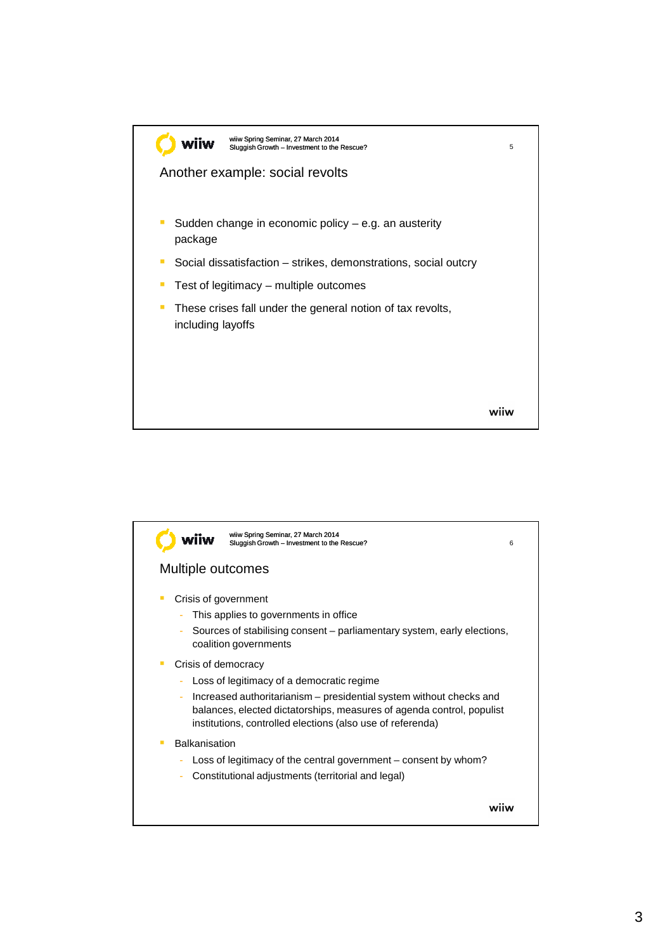

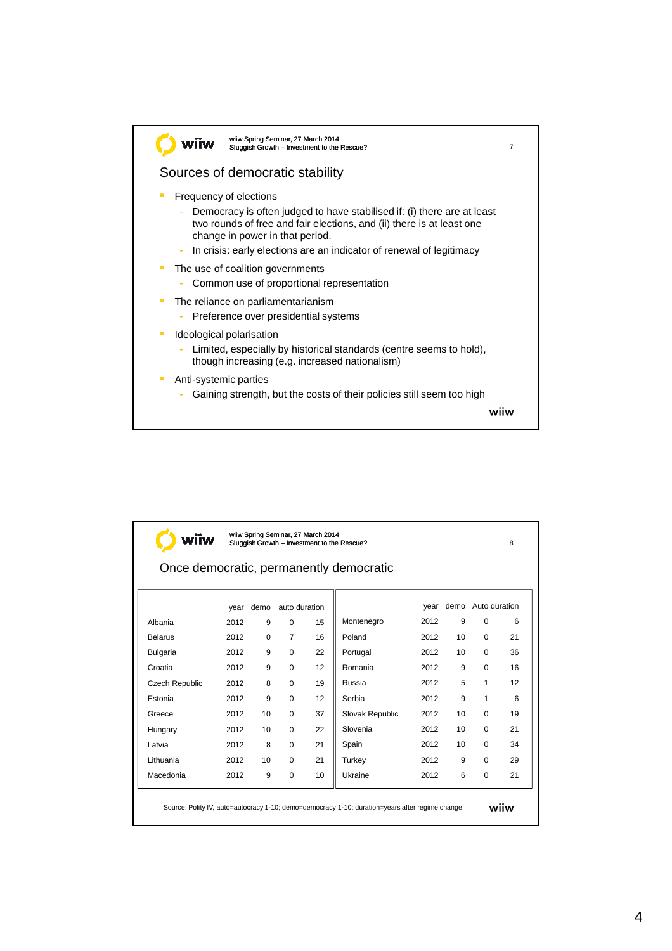

| wiiw Spring Seminar, 27 March 2014<br>wiiw<br>Sluggish Growth - Investment to the Rescue?        |      |          |                |    |                                         |      |    |                    | 8  |
|--------------------------------------------------------------------------------------------------|------|----------|----------------|----|-----------------------------------------|------|----|--------------------|----|
|                                                                                                  |      |          |                |    | Once democratic, permanently democratic |      |    |                    |    |
|                                                                                                  | year | demo     | auto duration  |    |                                         | vear |    | demo Auto duration |    |
| Albania                                                                                          | 2012 | 9        | $\Omega$       | 15 | Montenegro                              | 2012 | 9  | $\Omega$           | 6  |
| <b>Belarus</b>                                                                                   | 2012 | $\Omega$ | $\overline{7}$ | 16 | Poland                                  | 2012 | 10 | $\Omega$           | 21 |
| <b>Bulgaria</b>                                                                                  | 2012 | 9        | $\Omega$       | 22 | Portugal                                | 2012 | 10 | $\Omega$           | 36 |
| Croatia                                                                                          | 2012 | 9        | $\Omega$       | 12 | Romania                                 | 2012 | 9  | $\Omega$           | 16 |
| Czech Republic                                                                                   | 2012 | 8        | $\Omega$       | 19 | Russia                                  | 2012 | 5  | 1                  | 12 |
| Estonia                                                                                          | 2012 | 9        | $\Omega$       | 12 | Serbia                                  | 2012 | 9  | 1                  | 6  |
| Greece                                                                                           | 2012 | 10       | 0              | 37 | Slovak Republic                         | 2012 | 10 | $\Omega$           | 19 |
| Hungary                                                                                          | 2012 | 10       | 0              | 22 | Slovenia                                | 2012 | 10 | $\Omega$           | 21 |
| Latvia                                                                                           | 2012 | 8        | $\Omega$       | 21 | Spain                                   | 2012 | 10 | $\Omega$           | 34 |
| Lithuania                                                                                        | 2012 | 10       | $\Omega$       | 21 | Turkey                                  | 2012 | 9  | $\Omega$           | 29 |
| Macedonia                                                                                        | 2012 | 9        | $\Omega$       | 10 | Ukraine                                 | 2012 | 6  | $\Omega$           | 21 |
| Source: Polity IV, auto=autocracy 1-10; demo=democracy 1-10; duration=years after regime change. |      |          |                |    |                                         |      |    | (C) wiiw           |    |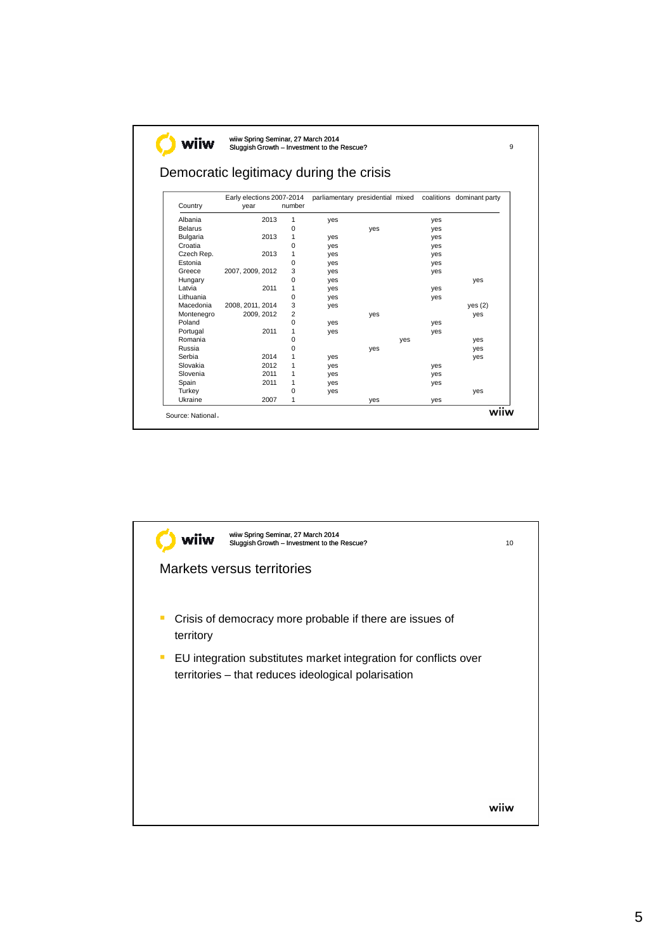|                 | Democratic legitimacy during the crisis |                |                                  |     |     |     |                           |  |  |
|-----------------|-----------------------------------------|----------------|----------------------------------|-----|-----|-----|---------------------------|--|--|
| Country         | Early elections 2007-2014<br>year       | number         | parliamentary presidential mixed |     |     |     | coalitions dominant party |  |  |
| Albania         | 2013                                    | 1              | yes                              |     |     | yes |                           |  |  |
| <b>Belarus</b>  |                                         | 0              |                                  | yes |     | yes |                           |  |  |
| <b>Bulgaria</b> | 2013                                    | 1              | yes                              |     |     | yes |                           |  |  |
| Croatia         |                                         | 0              | yes                              |     |     | yes |                           |  |  |
| Czech Rep.      | 2013                                    | 1              | yes                              |     |     | yes |                           |  |  |
| Estonia         |                                         | 0              | yes                              |     |     | yes |                           |  |  |
| Greece          | 2007, 2009, 2012                        | 3              | yes                              |     |     | yes |                           |  |  |
| Hungary         |                                         | 0              | yes                              |     |     |     | yes                       |  |  |
| Latvia          | 2011                                    | 1              | yes                              |     |     | yes |                           |  |  |
| Lithuania       |                                         | $\Omega$       | yes                              |     |     | yes |                           |  |  |
| Macedonia       | 2008, 2011, 2014                        | 3              | yes                              |     |     |     | yes (2)                   |  |  |
| Montenegro      | 2009, 2012                              | $\overline{2}$ |                                  | yes |     |     | yes                       |  |  |
| Poland          |                                         | 0              | yes                              |     |     | yes |                           |  |  |
| Portugal        | 2011                                    | 1              | yes                              |     |     | yes |                           |  |  |
| Romania         |                                         | 0              |                                  |     | yes |     | yes                       |  |  |
| Russia          |                                         | 0              |                                  | yes |     |     | yes                       |  |  |
| Serbia          | 2014                                    | 1              | yes                              |     |     |     | yes                       |  |  |
| Slovakia        | 2012                                    | 1              | yes                              |     |     | yes |                           |  |  |
| Slovenia        | 2011                                    | 1              | yes                              |     |     | yes |                           |  |  |
| Spain           | 2011                                    | 1              | yes                              |     |     | yes |                           |  |  |
| Turkey          |                                         | 0              | yes                              |     |     |     | yes                       |  |  |
| Ukraine         | 2007                                    | 1              |                                  | yes |     | yes |                           |  |  |

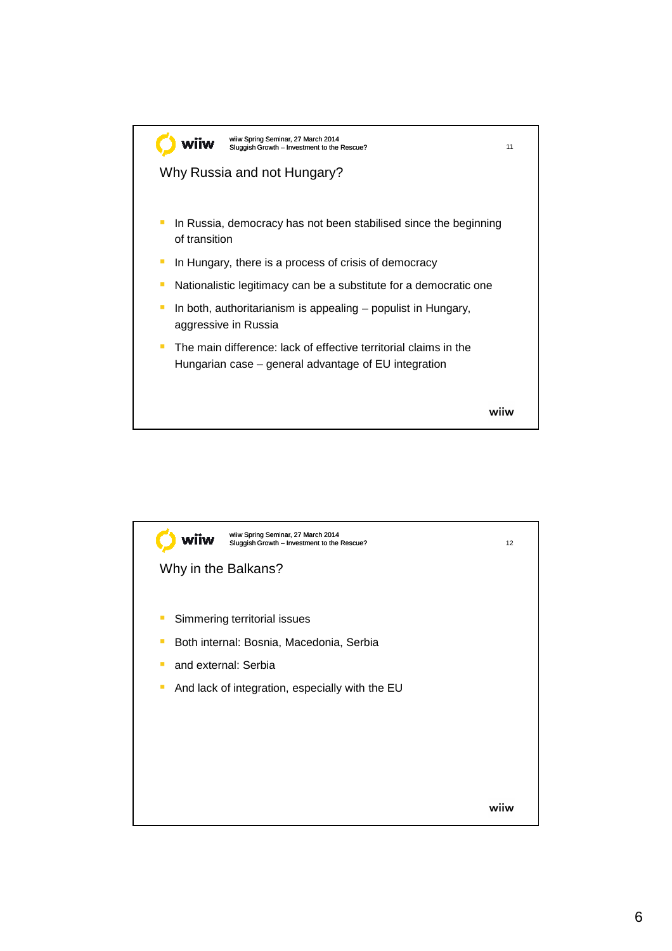

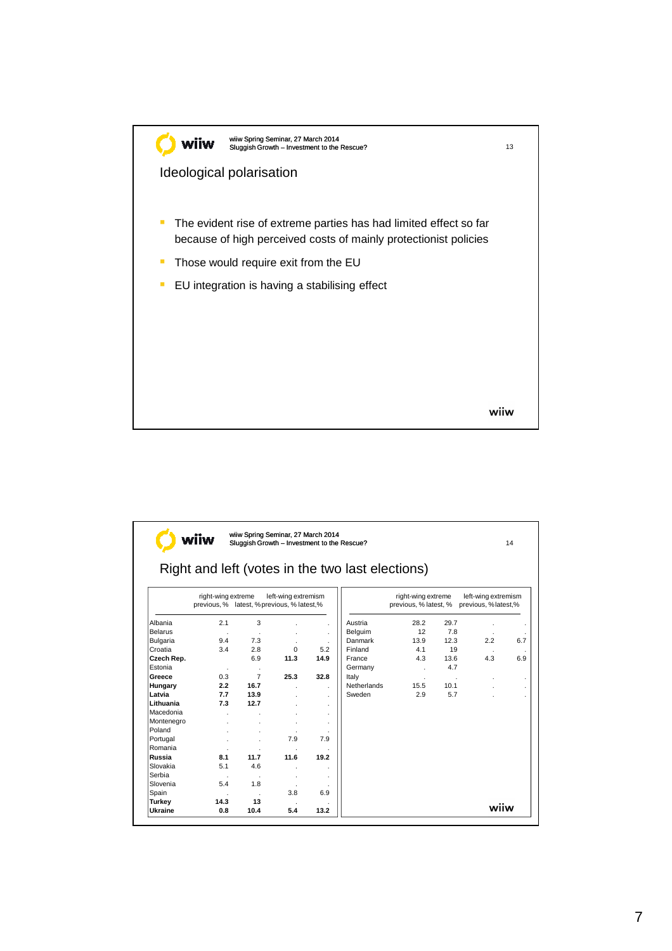

|                |                    |                |                                                                    |      | Right and left (votes in the two last elections) |                                             |         |                                             |     |
|----------------|--------------------|----------------|--------------------------------------------------------------------|------|--------------------------------------------------|---------------------------------------------|---------|---------------------------------------------|-----|
|                | right-wing extreme |                | left-wing extremism<br>previous, % latest, % previous, % latest, % |      |                                                  | right-wing extreme<br>previous, % latest, % |         | left-wing extremism<br>previous, % latest,% |     |
| Albania        | 2.1                | 3              |                                                                    |      | Austria                                          | 28.2                                        | 29.7    |                                             |     |
| <b>Belarus</b> |                    |                |                                                                    |      | Belguim                                          | 12                                          | 7.8     |                                             |     |
| Bulgaria       | 9.4                | 7.3            |                                                                    |      | Danmark                                          | 13.9                                        | 12.3    | 2.2                                         | 6.7 |
| Croatia        | 3.4                | 2.8            | $\Omega$                                                           | 5.2  | Finland                                          | 4.1                                         | 19      |                                             |     |
| Czech Rep.     |                    | 6.9            | 11.3                                                               | 14.9 | France                                           | 4.3                                         | 13.6    | 4.3                                         | 6.9 |
| Estonia        | $\cdot$            | ٠              |                                                                    |      | Germany                                          | $\ddot{\phantom{0}}$                        | 4.7     |                                             |     |
| Greece         | 0.3                | $\overline{7}$ | 25.3                                                               | 32.8 | Italy                                            | ×                                           | $\cdot$ |                                             |     |
| Hungary        | 2.2                | 16.7           |                                                                    |      | Netherlands                                      | 15.5                                        | 10.1    |                                             |     |
| Latvia         | 7.7                | 13.9           |                                                                    |      | Sweden                                           | 2.9                                         | 5.7     |                                             |     |
| Lithuania      | 7.3                | 12.7           |                                                                    |      |                                                  |                                             |         |                                             |     |
| Macedonia      |                    |                |                                                                    |      |                                                  |                                             |         |                                             |     |
| Montenegro     |                    |                |                                                                    |      |                                                  |                                             |         |                                             |     |
| Poland         |                    |                |                                                                    |      |                                                  |                                             |         |                                             |     |
| Portugal       |                    |                | 7.9                                                                | 7.9  |                                                  |                                             |         |                                             |     |
| Romania        |                    |                |                                                                    |      |                                                  |                                             |         |                                             |     |
| Russia         | 8.1                | 11.7           | 11.6                                                               | 19.2 |                                                  |                                             |         |                                             |     |
| Slovakia       | 5.1                | 4.6            |                                                                    |      |                                                  |                                             |         |                                             |     |
| Serbia         |                    |                |                                                                    |      |                                                  |                                             |         |                                             |     |
| Slovenia       | 5.4                | 1.8            |                                                                    |      |                                                  |                                             |         |                                             |     |
| Spain          |                    |                | 3.8                                                                | 6.9  |                                                  |                                             |         |                                             |     |
| Turkey         | 14.3               | 13             |                                                                    |      |                                                  |                                             |         | (C) wiiw                                    |     |
| Ukraine        | 0.8                | 10.4           | 5.4                                                                | 13.2 |                                                  |                                             |         |                                             |     |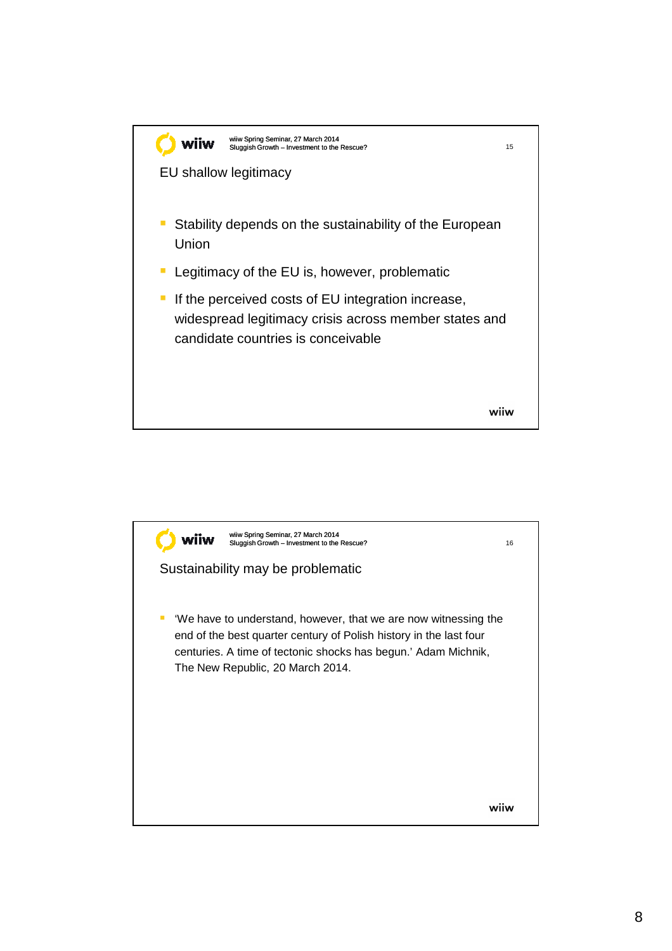